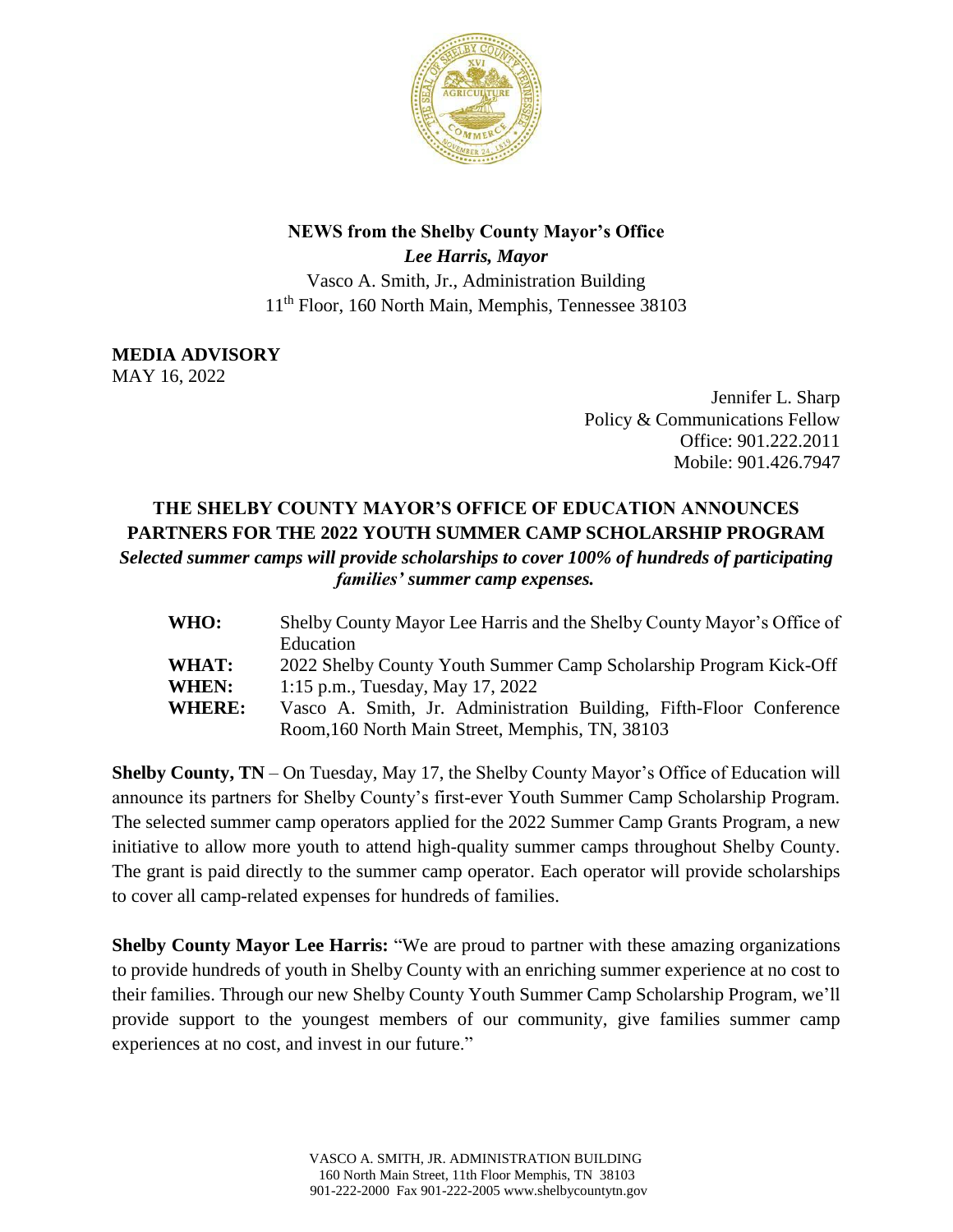

## **NEWS from the Shelby County Mayor's Office**

*Lee Harris, Mayor* Vasco A. Smith, Jr., Administration Building 11th Floor, 160 North Main, Memphis, Tennessee 38103

**MEDIA ADVISORY** MAY 16, 2022

> Jennifer L. Sharp Policy & Communications Fellow Office: 901.222.2011 Mobile: 901.426.7947

## **THE SHELBY COUNTY MAYOR'S OFFICE OF EDUCATION ANNOUNCES PARTNERS FOR THE 2022 YOUTH SUMMER CAMP SCHOLARSHIP PROGRAM**  *Selected summer camps will provide scholarships to cover 100% of hundreds of participating families' summer camp expenses.*

| <b>WHO:</b>   | Shelby County Mayor Lee Harris and the Shelby County Mayor's Office of |
|---------------|------------------------------------------------------------------------|
|               | Education                                                              |
| <b>WHAT:</b>  | 2022 Shelby County Youth Summer Camp Scholarship Program Kick-Off      |
| <b>WHEN:</b>  | 1:15 p.m., Tuesday, May 17, 2022                                       |
| <b>WHERE:</b> | Vasco A. Smith, Jr. Administration Building, Fifth-Floor Conference    |
|               | Room, 160 North Main Street, Memphis, TN, 38103                        |

**Shelby County, TN** – On Tuesday, May 17, the Shelby County Mayor's Office of Education will announce its partners for Shelby County's first-ever Youth Summer Camp Scholarship Program. The selected summer camp operators applied for the 2022 Summer Camp Grants Program, a new initiative to allow more youth to attend high-quality summer camps throughout Shelby County. The grant is paid directly to the summer camp operator. Each operator will provide scholarships to cover all camp-related expenses for hundreds of families.

**Shelby County Mayor Lee Harris:** "We are proud to partner with these amazing organizations to provide hundreds of youth in Shelby County with an enriching summer experience at no cost to their families. Through our new Shelby County Youth Summer Camp Scholarship Program, we'll provide support to the youngest members of our community, give families summer camp experiences at no cost, and invest in our future."